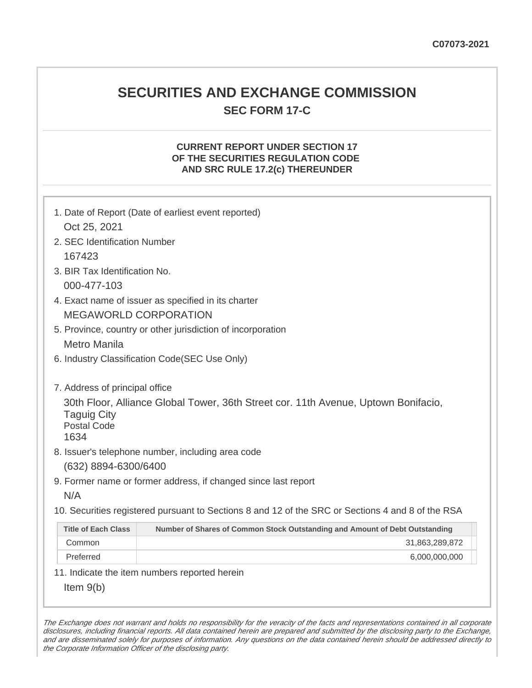# **SECURITIES AND EXCHANGE COMMISSION SEC FORM 17-C**

# **CURRENT REPORT UNDER SECTION 17 OF THE SECURITIES REGULATION CODE AND SRC RULE 17.2(c) THEREUNDER**

| 1. Date of Report (Date of earliest event reported)<br>Oct 25, 2021                                                                                                                                                                                                                                                            |                |
|--------------------------------------------------------------------------------------------------------------------------------------------------------------------------------------------------------------------------------------------------------------------------------------------------------------------------------|----------------|
| 2. SEC Identification Number                                                                                                                                                                                                                                                                                                   |                |
| 167423                                                                                                                                                                                                                                                                                                                         |                |
| 3. BIR Tax Identification No.                                                                                                                                                                                                                                                                                                  |                |
| 000-477-103                                                                                                                                                                                                                                                                                                                    |                |
| 4. Exact name of issuer as specified in its charter                                                                                                                                                                                                                                                                            |                |
| <b>MEGAWORLD CORPORATION</b>                                                                                                                                                                                                                                                                                                   |                |
| 5. Province, country or other jurisdiction of incorporation                                                                                                                                                                                                                                                                    |                |
| Metro Manila                                                                                                                                                                                                                                                                                                                   |                |
| 6. Industry Classification Code(SEC Use Only)                                                                                                                                                                                                                                                                                  |                |
| 7. Address of principal office<br>30th Floor, Alliance Global Tower, 36th Street cor. 11th Avenue, Uptown Bonifacio,<br><b>Taguig City</b><br><b>Postal Code</b><br>1634<br>8. Issuer's telephone number, including area code<br>(632) 8894-6300/6400<br>9. Former name or former address, if changed since last report<br>N/A |                |
| 10. Securities registered pursuant to Sections 8 and 12 of the SRC or Sections 4 and 8 of the RSA                                                                                                                                                                                                                              |                |
| <b>Title of Each Class</b><br>Number of Shares of Common Stock Outstanding and Amount of Debt Outstanding                                                                                                                                                                                                                      |                |
| Common                                                                                                                                                                                                                                                                                                                         | 31,863,289,872 |
| Preferred                                                                                                                                                                                                                                                                                                                      | 6,000,000,000  |
| 11. Indicate the item numbers reported herein                                                                                                                                                                                                                                                                                  |                |
| Item $9(b)$                                                                                                                                                                                                                                                                                                                    |                |

The Exchange does not warrant and holds no responsibility for the veracity of the facts and representations contained in all corporate disclosures, including financial reports. All data contained herein are prepared and submitted by the disclosing party to the Exchange, and are disseminated solely for purposes of information. Any questions on the data contained herein should be addressed directly to the Corporate Information Officer of the disclosing party.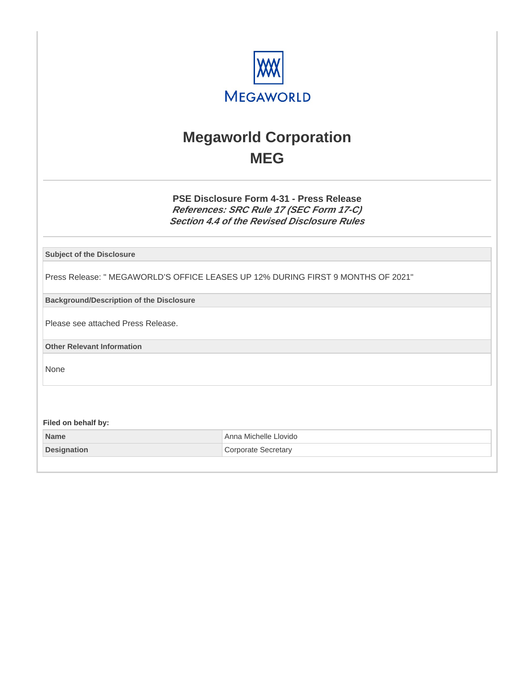

# **Megaworld Corporation MEG**

**PSE Disclosure Form 4-31 - Press Release References: SRC Rule 17 (SEC Form 17-C) Section 4.4 of the Revised Disclosure Rules**

**Subject of the Disclosure**

Press Release: " MEGAWORLD'S OFFICE LEASES UP 12% DURING FIRST 9 MONTHS OF 2021"

**Background/Description of the Disclosure**

Please see attached Press Release.

**Other Relevant Information**

None

**Filed on behalf by:**

| <b>Name</b>        | Anna Michelle Llovido |
|--------------------|-----------------------|
| <b>Designation</b> | Corporate Secretary   |
|                    |                       |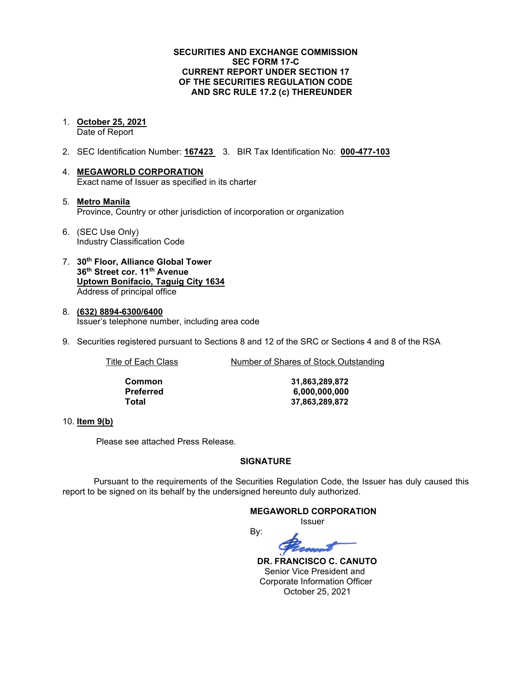### **SECURITIES AND EXCHANGE COMMISSION SEC FORM 17-C CURRENT REPORT UNDER SECTION 17 OF THE SECURITIES REGULATION CODE AND SRC RULE 17.2 (c) THEREUNDER**

#### 1. **October 25, 2021** Date of Report

- 2. SEC Identification Number: **167423** 3. BIR Tax Identification No: **000-477-103**
- 4. **MEGAWORLD CORPORATION** Exact name of Issuer as specified in its charter
- 5. **Metro Manila** Province, Country or other jurisdiction of incorporation or organization
- 6. (SEC Use Only) Industry Classification Code
- 7. **30th Floor, Alliance Global Tower 36th Street cor. 11th Avenue Uptown Bonifacio, Taguig City 1634** Address of principal office
- 8. **(632) 8894-6300/6400** Issuer's telephone number, including area code
- 9. Securities registered pursuant to Sections 8 and 12 of the SRC or Sections 4 and 8 of the RSA

Title of Each Class Number of Shares of Stock Outstanding

| Common    |  |
|-----------|--|
| Preferred |  |
| Total     |  |

**Common 31,863,289,872 Preferred 6,000,000,000 Total 37,863,289,872**

#### 10. **Item 9(b)**

Please see attached Press Release.

### **SIGNATURE**

Pursuant to the requirements of the Securities Regulation Code, the Issuer has duly caused this report to be signed on its behalf by the undersigned hereunto duly authorized.

## **MEGAWORLD CORPORATION**

Issuer



 **DR. FRANCISCO C. CANUTO** Senior Vice President and Corporate Information Officer October 25, 2021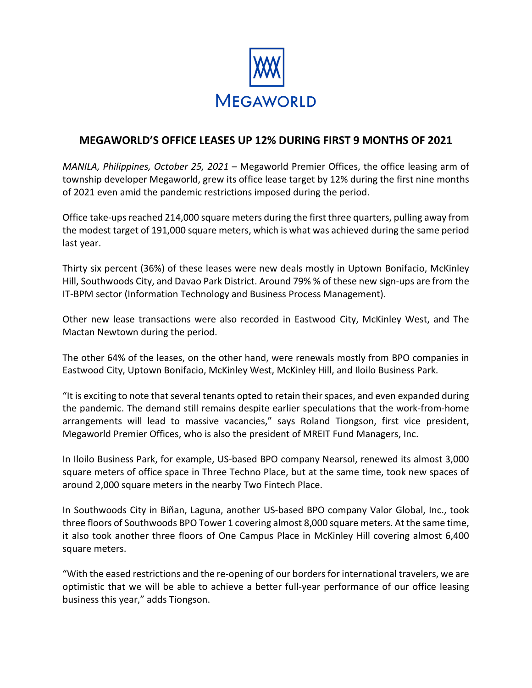

# **MEGAWORLD'S OFFICE LEASES UP 12% DURING FIRST 9 MONTHS OF 2021**

*MANILA, Philippines, October 25, 2021 –* Megaworld Premier Offices, the office leasing arm of township developer Megaworld, grew its office lease target by 12% during the first nine months of 2021 even amid the pandemic restrictions imposed during the period.

Office take-ups reached 214,000 square meters during the first three quarters, pulling away from the modest target of 191,000 square meters, which is what was achieved during the same period last year.

Thirty six percent (36%) of these leases were new deals mostly in Uptown Bonifacio, McKinley Hill, Southwoods City, and Davao Park District. Around 79% % of these new sign-ups are from the IT-BPM sector (Information Technology and Business Process Management).

Other new lease transactions were also recorded in Eastwood City, McKinley West, and The Mactan Newtown during the period.

The other 64% of the leases, on the other hand, were renewals mostly from BPO companies in Eastwood City, Uptown Bonifacio, McKinley West, McKinley Hill, and Iloilo Business Park.

"It is exciting to note that several tenants opted to retain their spaces, and even expanded during the pandemic. The demand still remains despite earlier speculations that the work-from-home arrangements will lead to massive vacancies," says Roland Tiongson, first vice president, Megaworld Premier Offices, who is also the president of MREIT Fund Managers, Inc.

In Iloilo Business Park, for example, US-based BPO company Nearsol, renewed its almost 3,000 square meters of office space in Three Techno Place, but at the same time, took new spaces of around 2,000 square meters in the nearby Two Fintech Place.

In Southwoods City in Biñan, Laguna, another US-based BPO company Valor Global, Inc., took three floors of Southwoods BPO Tower 1 covering almost 8,000 square meters. At the same time, it also took another three floors of One Campus Place in McKinley Hill covering almost 6,400 square meters.

"With the eased restrictions and the re-opening of our borders for international travelers, we are optimistic that we will be able to achieve a better full-year performance of our office leasing business this year," adds Tiongson.